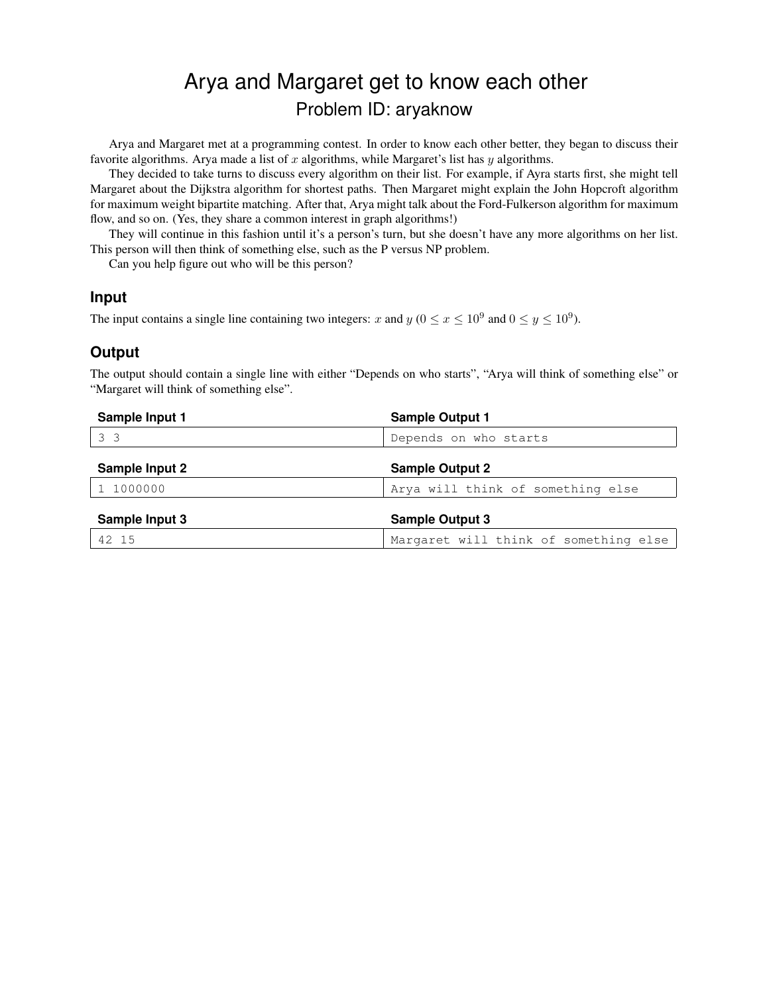# Arya and Margaret get to know each other Problem ID: aryaknow

Arya and Margaret met at a programming contest. In order to know each other better, they began to discuss their favorite algorithms. Arya made a list of x algorithms, while Margaret's list has  $y$  algorithms.

They decided to take turns to discuss every algorithm on their list. For example, if Ayra starts first, she might tell Margaret about the Dijkstra algorithm for shortest paths. Then Margaret might explain the John Hopcroft algorithm for maximum weight bipartite matching. After that, Arya might talk about the Ford-Fulkerson algorithm for maximum flow, and so on. (Yes, they share a common interest in graph algorithms!)

They will continue in this fashion until it's a person's turn, but she doesn't have any more algorithms on her list. This person will then think of something else, such as the P versus NP problem.

Can you help figure out who will be this person?

#### **Input**

The input contains a single line containing two integers: x and y ( $0 \le x \le 10^9$  and  $0 \le y \le 10^9$ ).

#### **Output**

The output should contain a single line with either "Depends on who starts", "Arya will think of something else" or "Margaret will think of something else".

| Sample Input 1 | <b>Sample Output 1</b>                |
|----------------|---------------------------------------|
| 3 <sup>3</sup> | Depends on who starts                 |
| Sample Input 2 | <b>Sample Output 2</b>                |
| 1 1000000      | Arya will think of something else     |
| Sample Input 3 | <b>Sample Output 3</b>                |
| 42 15          | Margaret will think of something else |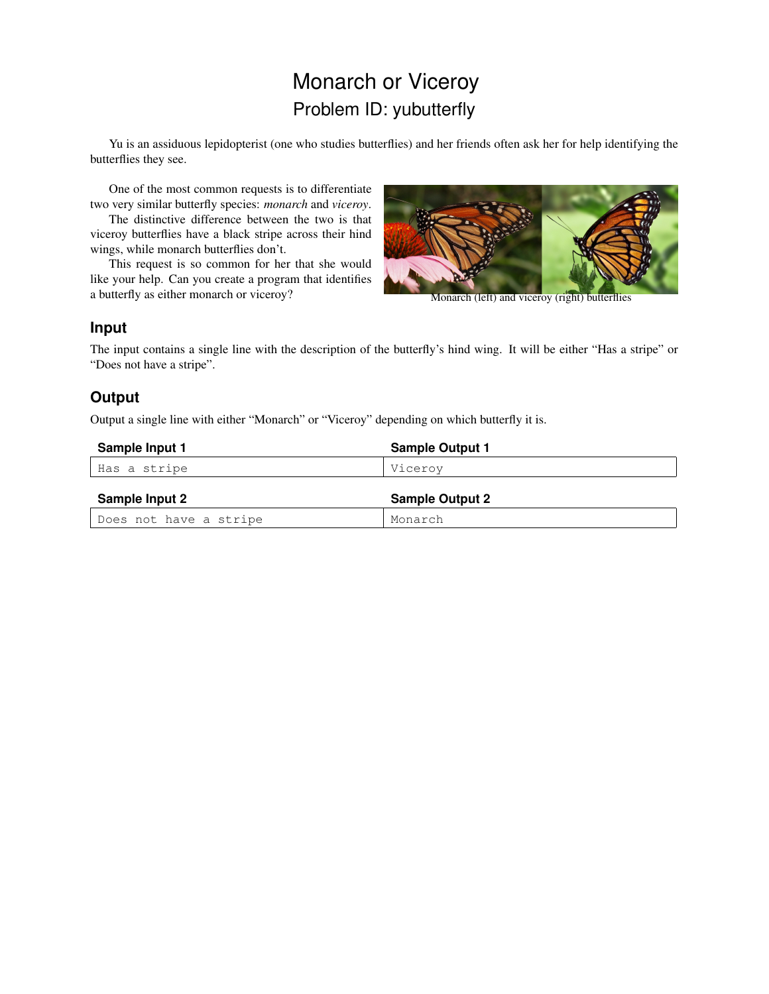# Monarch or Viceroy Problem ID: yubutterfly

Yu is an assiduous lepidopterist (one who studies butterflies) and her friends often ask her for help identifying the butterflies they see.

One of the most common requests is to differentiate two very similar butterfly species: *monarch* and *viceroy*.

The distinctive difference between the two is that viceroy butterflies have a black stripe across their hind wings, while monarch butterflies don't.

This request is so common for her that she would like your help. Can you create a program that identifies a butterfly as either monarch or viceroy?



Monarch (left) and viceroy (right) butterflies

#### **Input**

The input contains a single line with the description of the butterfly's hind wing. It will be either "Has a stripe" or "Does not have a stripe".

### **Output**

Output a single line with either "Monarch" or "Viceroy" depending on which butterfly it is.

| Sample Input 1         | <b>Sample Output 1</b> |
|------------------------|------------------------|
| Has a stripe           | Vicerov                |
| Sample Input 2         | <b>Sample Output 2</b> |
| Does not have a stripe | Monarch                |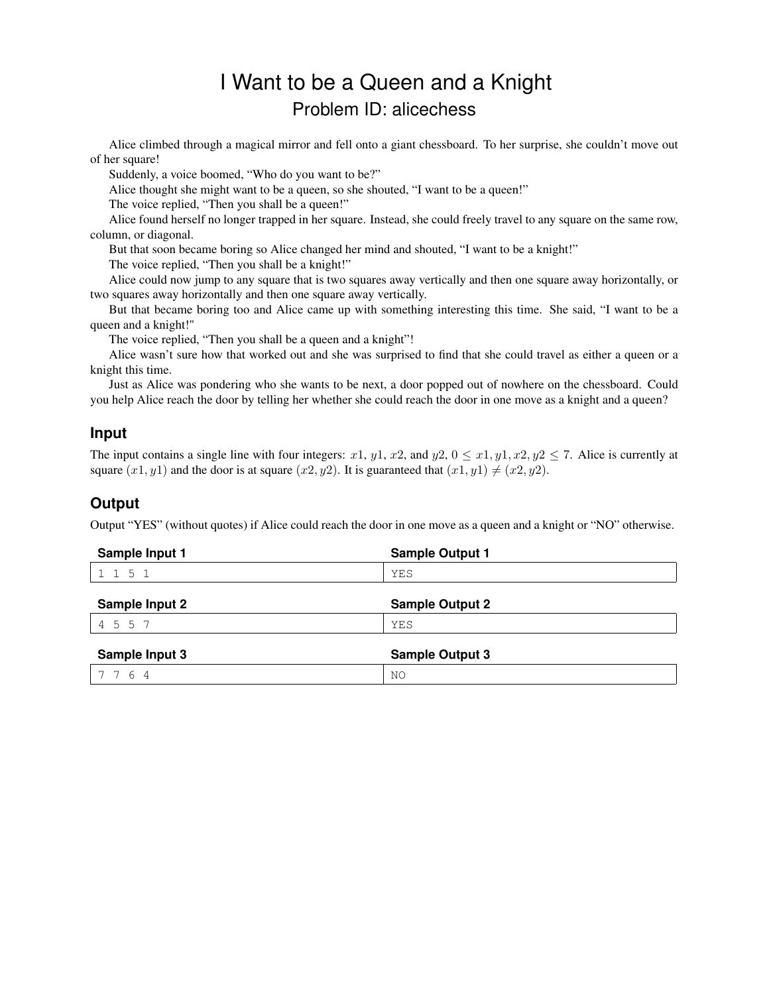# I Want to be a Queen and a Knight Problem ID: alicechess

Alice climbed through a magical mirror and fell onto a giant chessboard. To her surprise, she couldn't move out of her square!

Suddenly, a voice boomed, "Who do you want to be?"

Alice thought she might want to be a queen, so she shouted, "I want to be a queen!"

The voice replied, "Then you shall be a queen!"

Alice found herself no longer trapped in her square. Instead, she could freely travel to any square on the same row, column, or diagonal.

But that soon became boring so Alice changed her mind and shouted, "I want to be a knight!"

The voice replied, "Then you shall be a knight!"

Alice could now jump to any square that is two squares away vertically and then one square away horizontally, or two squares away horizontally and then one square away vertically.

But that became boring too and Alice came up with something interesting this time. She said, "I want to be a queen and a knight!"

The voice replied, "Then you shall be a queen and a knight"!

Alice wasn't sure how that worked out and she was surprised to find that she could travel as either a queen or a knight this time.

Just as Alice was pondering who she wants to be next, a door popped out of nowhere on the chessboard. Could you help Alice reach the door by telling her whether she could reach the door in one move as a knight and a queen?

#### **Input**

The input contains a single line with four integers: x1, y1, x2, and y2,  $0 \le x1, y1, x2, y2 \le 7$ . Alice is currently at square  $(x1, y1)$  and the door is at square  $(x2, y2)$ . It is guaranteed that  $(x1, y1) \neq (x2, y2)$ .

### **Output**

Output "YES" (without quotes) if Alice could reach the door in one move as a queen and a knight or "NO" otherwise.

| Sample Input 1        | <b>Sample Output 1</b> |
|-----------------------|------------------------|
| 1 1 5 1               | YES                    |
| <b>Sample Input 2</b> | <b>Sample Output 2</b> |
| 4 5 5 7               | YES                    |
| Sample Input 3        | <b>Sample Output 3</b> |
| 6<br>-4               | NO                     |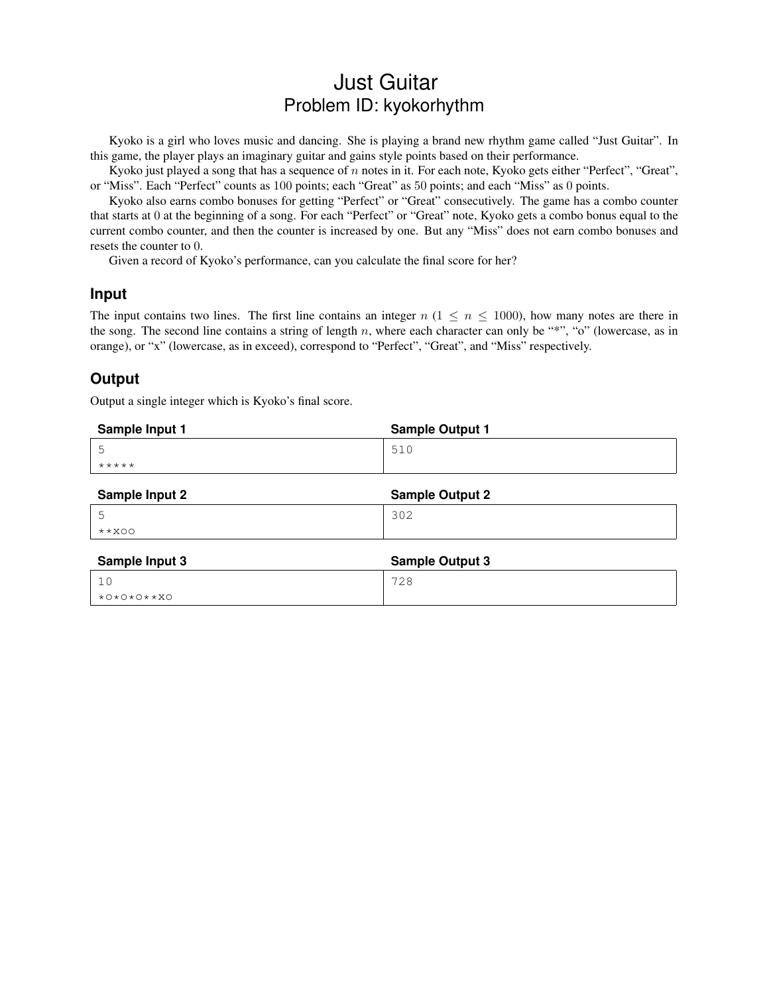## Just Guitar Problem ID: kyokorhythm

Kyoko is a girl who loves music and dancing. She is playing a brand new rhythm game called "Just Guitar". In this game, the player plays an imaginary guitar and gains style points based on their performance.

Kyoko just played a song that has a sequence of n notes in it. For each note, Kyoko gets either "Perfect", "Great", or "Miss". Each "Perfect" counts as 100 points; each "Great" as 50 points; and each "Miss" as 0 points.

Kyoko also earns combo bonuses for getting "Perfect" or "Great" consecutively. The game has a combo counter that starts at 0 at the beginning of a song. For each "Perfect" or "Great" note, Kyoko gets a combo bonus equal to the current combo counter, and then the counter is increased by one. But any "Miss" does not earn combo bonuses and resets the counter to 0.

Given a record of Kyoko's performance, can you calculate the final score for her?

#### **Input**

The input contains two lines. The first line contains an integer  $n (1 \le n \le 1000)$ , how many notes are there in the song. The second line contains a string of length  $n$ , where each character can only be "\*", "o" (lowercase, as in orange), or "x" (lowercase, as in exceed), correspond to "Perfect", "Great", and "Miss" respectively.

#### **Output**

Output a single integer which is Kyoko's final score.

| Sample Input 1 | <b>Sample Output 1</b> |
|----------------|------------------------|
| 5              | 510                    |
| $* * * * * *$  |                        |
| Sample Input 2 | <b>Sample Output 2</b> |
| 5              | 302                    |
| $***OO$        |                        |
| Sample Input 3 | <b>Sample Output 3</b> |
| 10             | 728                    |
| $*0*0*0**X0$   |                        |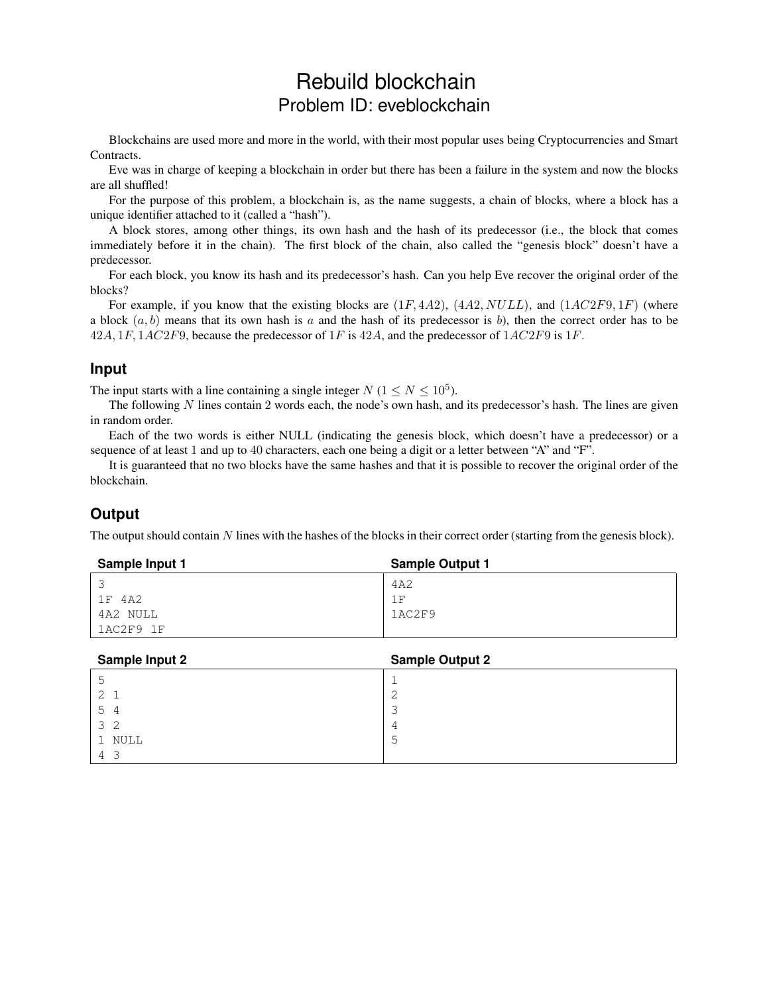## Rebuild blockchain Problem ID: eveblockchain

Blockchains are used more and more in the world, with their most popular uses being Cryptocurrencies and Smart Contracts.

Eve was in charge of keeping a blockchain in order but there has been a failure in the system and now the blocks are all shuffled!

For the purpose of this problem, a blockchain is, as the name suggests, a chain of blocks, where a block has a unique identifier attached to it (called a "hash").

A block stores, among other things, its own hash and the hash of its predecessor (i.e., the block that comes immediately before it in the chain). The first block of the chain, also called the "genesis block" doesn't have a predecessor.

For each block, you know its hash and its predecessor's hash. Can you help Eve recover the original order of the blocks?

For example, if you know that the existing blocks are  $(1F, 4A2)$ ,  $(4A2, NULL)$ , and  $(1AC2F9, 1F)$  (where a block  $(a, b)$  means that its own hash is a and the hash of its predecessor is b), then the correct order has to be  $42A$ ,  $1F$ ,  $1AC2F9$ , because the predecessor of  $1F$  is  $42A$ , and the predecessor of  $1AC2F9$  is  $1F$ .

#### **Input**

The input starts with a line containing a single integer  $N$  ( $1 \le N \le 10^5$ ).

The following  $N$  lines contain 2 words each, the node's own hash, and its predecessor's hash. The lines are given in random order.

Each of the two words is either NULL (indicating the genesis block, which doesn't have a predecessor) or a sequence of at least 1 and up to 40 characters, each one being a digit or a letter between "A" and "F".

It is guaranteed that no two blocks have the same hashes and that it is possible to recover the original order of the blockchain.

### **Output**

The output should contain  $N$  lines with the hashes of the blocks in their correct order (starting from the genesis block).

| Sample Input 1 | <b>Sample Output 1</b> |
|----------------|------------------------|
|                | 4A2                    |
| 1F 4A2         | īΕ                     |
| 4A2 NULL       | 1AC2F9                 |
| 1AC2F9 1F      |                        |

| <b>Sample Input 2</b> | <b>Sample Output 2</b> |
|-----------------------|------------------------|
| 5                     |                        |
| $2 \quad 1$           | ◠<br>∠                 |
| 54                    | ∍<br>ت                 |
| 3 <sub>2</sub>        | 4                      |
| 1 NULL                | 5                      |
| 4 3                   |                        |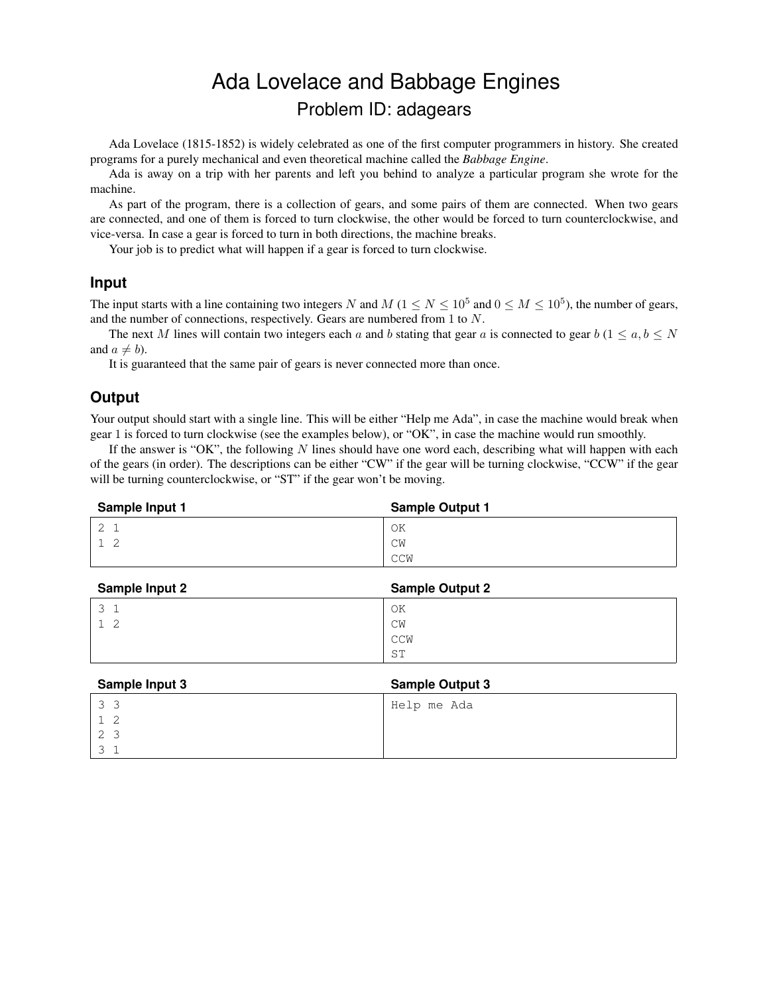# Ada Lovelace and Babbage Engines Problem ID: adagears

Ada Lovelace (1815-1852) is widely celebrated as one of the first computer programmers in history. She created programs for a purely mechanical and even theoretical machine called the *Babbage Engine*.

Ada is away on a trip with her parents and left you behind to analyze a particular program she wrote for the machine.

As part of the program, there is a collection of gears, and some pairs of them are connected. When two gears are connected, and one of them is forced to turn clockwise, the other would be forced to turn counterclockwise, and vice-versa. In case a gear is forced to turn in both directions, the machine breaks.

Your job is to predict what will happen if a gear is forced to turn clockwise.

#### **Input**

The input starts with a line containing two integers N and  $M$  ( $1 \le N \le 10^5$  and  $0 \le M \le 10^5$ ), the number of gears, and the number of connections, respectively. Gears are numbered from 1 to N.

The next M lines will contain two integers each a and b stating that gear a is connected to gear  $b$  (1  $\le a, b \le N$ ) and  $a \neq b$ ).

It is guaranteed that the same pair of gears is never connected more than once.

### **Output**

Your output should start with a single line. This will be either "Help me Ada", in case the machine would break when gear 1 is forced to turn clockwise (see the examples below), or "OK", in case the machine would run smoothly.

If the answer is "OK", the following  $N$  lines should have one word each, describing what will happen with each of the gears (in order). The descriptions can be either "CW" if the gear will be turning clockwise, "CCW" if the gear will be turning counterclockwise, or "ST" if the gear won't be moving.

| Sample Input 1 | <b>Sample Output 1</b> |
|----------------|------------------------|
|                | OK                     |
|                | CM                     |
|                | CCW                    |

| <b>Sample Input 2</b> | <b>Sample Output 2</b> |
|-----------------------|------------------------|
|                       | ΟK                     |
|                       | CW                     |
|                       | CCW                    |
|                       | ST                     |

| Sample Input 3 | <b>Sample Output 3</b> |
|----------------|------------------------|
| 33             | Help me Ada            |
|                |                        |
| 2              |                        |
|                |                        |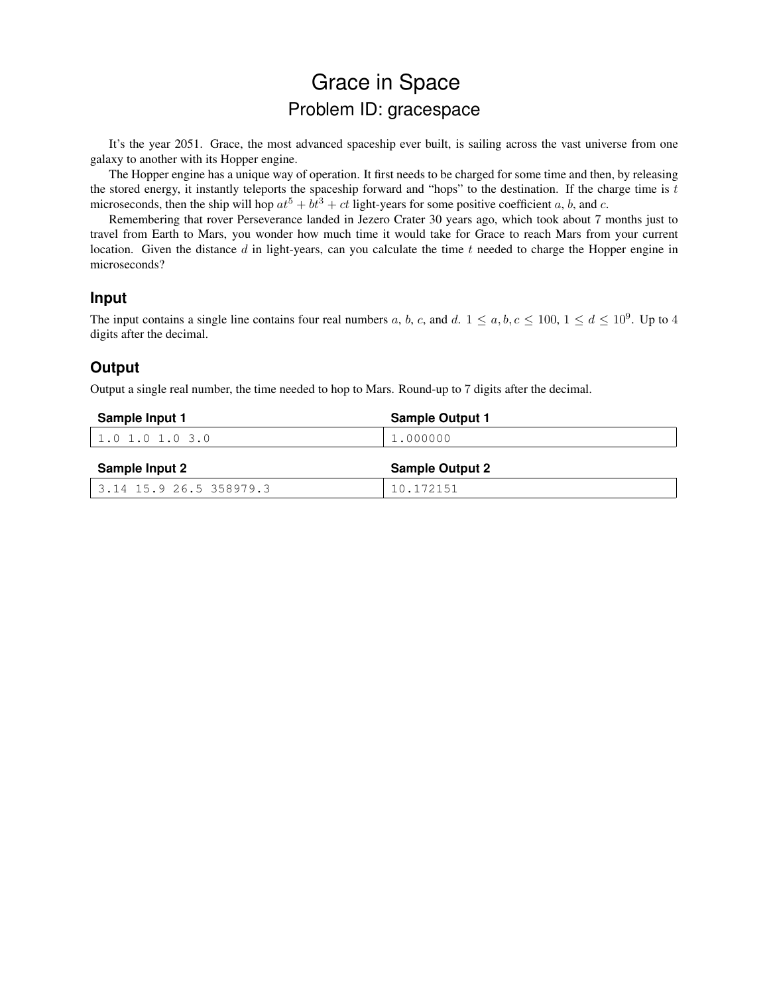# Grace in Space Problem ID: gracespace

It's the year 2051. Grace, the most advanced spaceship ever built, is sailing across the vast universe from one galaxy to another with its Hopper engine.

The Hopper engine has a unique way of operation. It first needs to be charged for some time and then, by releasing the stored energy, it instantly teleports the spaceship forward and "hops" to the destination. If the charge time is  $t$ microseconds, then the ship will hop  $at^5 + bt^3 + ct$  light-years for some positive coefficient a, b, and c.

Remembering that rover Perseverance landed in Jezero Crater 30 years ago, which took about 7 months just to travel from Earth to Mars, you wonder how much time it would take for Grace to reach Mars from your current location. Given the distance  $d$  in light-years, can you calculate the time  $t$  needed to charge the Hopper engine in microseconds?

#### **Input**

The input contains a single line contains four real numbers a, b, c, and d.  $1 \le a, b, c \le 100, 1 \le d \le 10^9$ . Up to 4 digits after the decimal.

### **Output**

Output a single real number, the time needed to hop to Mars. Round-up to 7 digits after the decimal.

| Sample Input 1    | <b>Sample Output 1</b> |
|-------------------|------------------------|
| $1.0$ 1.0 1.0 3.0 | 1,000000               |
|                   |                        |
| Sample Input 2    | <b>Sample Output 2</b> |